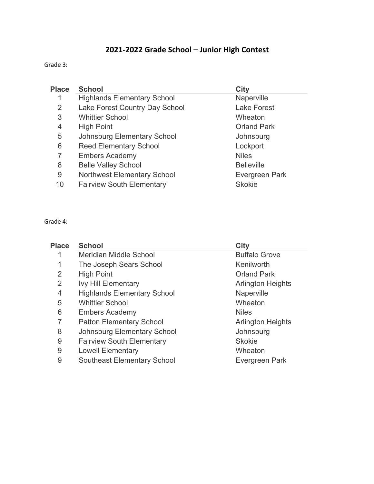# **2021-2022 Grade School – Junior High Contest**

Grade 3:

| <b>Place</b> | <b>School</b>                      | <b>City</b>        |
|--------------|------------------------------------|--------------------|
|              | <b>Highlands Elementary School</b> | Naperville         |
| 2            | Lake Forest Country Day School     | <b>Lake Forest</b> |
| 3            | <b>Whittier School</b>             | Wheaton            |
| 4            | <b>High Point</b>                  | <b>Orland Park</b> |
| 5            | <b>Johnsburg Elementary School</b> | Johnsburg          |
| 6            | <b>Reed Elementary School</b>      | Lockport           |
| 7            | <b>Embers Academy</b>              | <b>Niles</b>       |
| 8            | <b>Belle Valley School</b>         | <b>Belleville</b>  |
| 9            | <b>Northwest Elementary School</b> | Evergreen Park     |
| 10           | <b>Fairview South Elementary</b>   | <b>Skokie</b>      |

## Grade 4:

| <b>Place</b> | <b>School</b>                      | City                     |
|--------------|------------------------------------|--------------------------|
|              | Meridian Middle School             | <b>Buffalo Grove</b>     |
| 1            | The Joseph Sears School            | Kenilworth               |
| 2            | <b>High Point</b>                  | <b>Orland Park</b>       |
| 2            | <b>Ivy Hill Elementary</b>         | <b>Arlington Heights</b> |
| 4            | <b>Highlands Elementary School</b> | Naperville               |
| 5            | <b>Whittier School</b>             | Wheaton                  |
| 6            | <b>Embers Academy</b>              | <b>Niles</b>             |
| 7            | <b>Patton Elementary School</b>    | <b>Arlington Heights</b> |
| 8            | <b>Johnsburg Elementary School</b> | Johnsburg                |
| 9            | <b>Fairview South Elementary</b>   | <b>Skokie</b>            |
| 9            | <b>Lowell Elementary</b>           | Wheaton                  |
| 9            | <b>Southeast Elementary School</b> | Evergreen Park           |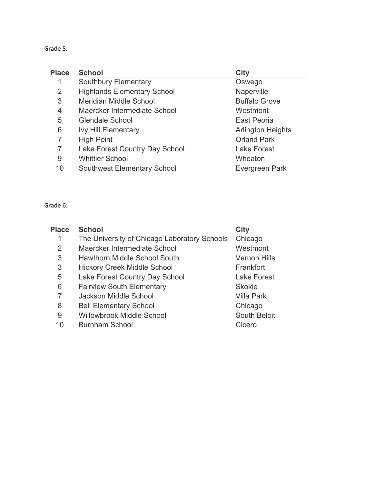## Grade 5:

| <b>Place</b>   | <b>School</b>                      | City                     |
|----------------|------------------------------------|--------------------------|
|                | <b>Southbury Elementary</b>        | Oswego                   |
| 2              | <b>Highlands Elementary School</b> | Naperville               |
| 3              | Meridian Middle School             | <b>Buffalo Grove</b>     |
| $\overline{4}$ | Maercker Intermediate School       | Westmont                 |
| 5              | <b>Glendale School</b>             | East Peoria              |
| 6              | <b>Ivy Hill Elementary</b>         | <b>Arlington Heights</b> |
| 7              | <b>High Point</b>                  | <b>Orland Park</b>       |
| 7              | Lake Forest Country Day School     | <b>Lake Forest</b>       |
| 9              | <b>Whittier School</b>             | Wheaton                  |
| 10             | <b>Southwest Elementary School</b> | Evergreen Park           |

Grade 6:

| <b>Place</b> | <b>School</b>                                | <b>City</b>         |
|--------------|----------------------------------------------|---------------------|
|              | The University of Chicago Laboratory Schools | Chicago             |
| 2            | Maercker Intermediate School                 | Westmont            |
| 3            | Hawthorn Middle School South                 | <b>Vernon Hills</b> |
| 3            | <b>Hickory Creek Middle School</b>           | Frankfort           |
| 5            | Lake Forest Country Day School               | <b>Lake Forest</b>  |
| 6            | <b>Fairview South Elementary</b>             | <b>Skokie</b>       |
| 7            | Jackson Middle School                        | <b>Villa Park</b>   |
| 8            | <b>Bell Elementary School</b>                | Chicago             |
| 9            | Willowbrook Middle School                    | South Beloit        |
| 10           | <b>Burnham School</b>                        | Cicero              |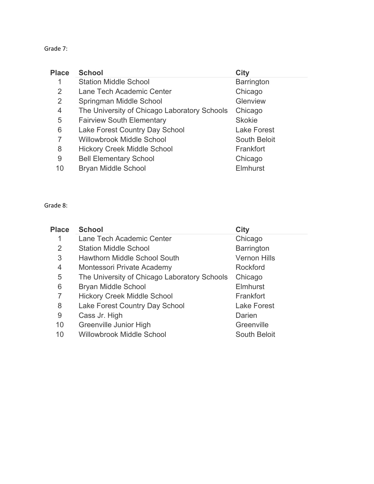# Grade 7:

| <b>Place</b> | <b>School</b>                                | City                |
|--------------|----------------------------------------------|---------------------|
|              | <b>Station Middle School</b>                 | <b>Barrington</b>   |
| 2            | Lane Tech Academic Center                    | Chicago             |
| 2            | Springman Middle School                      | Glenview            |
| 4            | The University of Chicago Laboratory Schools | Chicago             |
| 5            | <b>Fairview South Elementary</b>             | <b>Skokie</b>       |
| 6            | Lake Forest Country Day School               | <b>Lake Forest</b>  |
| 7            | <b>Willowbrook Middle School</b>             | <b>South Beloit</b> |
| 8            | <b>Hickory Creek Middle School</b>           | Frankfort           |
| 9            | <b>Bell Elementary School</b>                | Chicago             |
| 10           | <b>Bryan Middle School</b>                   | Elmhurst            |

## Grade 8:

| <b>Place</b>   | <b>School</b>                                | <b>City</b>         |
|----------------|----------------------------------------------|---------------------|
|                | Lane Tech Academic Center                    | Chicago             |
| $\overline{2}$ | <b>Station Middle School</b>                 | <b>Barrington</b>   |
| 3              | <b>Hawthorn Middle School South</b>          | <b>Vernon Hills</b> |
| $\overline{4}$ | Montessori Private Academy                   | Rockford            |
| 5              | The University of Chicago Laboratory Schools | Chicago             |
| 6              | <b>Bryan Middle School</b>                   | <b>Elmhurst</b>     |
| 7              | <b>Hickory Creek Middle School</b>           | Frankfort           |
| 8              | Lake Forest Country Day School               | <b>Lake Forest</b>  |
| 9              | Cass Jr. High                                | Darien              |
| 10             | Greenville Junior High                       | Greenville          |
| 10             | <b>Willowbrook Middle School</b>             | South Beloit        |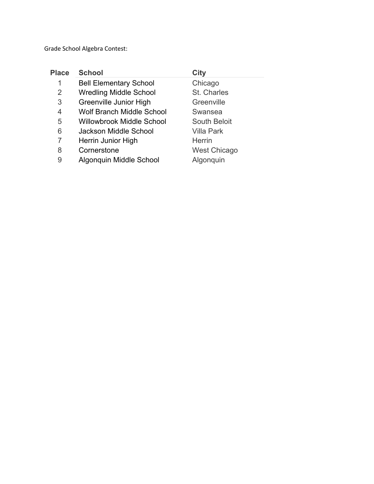Grade School Algebra Contest:

| <b>Place</b> | <b>School</b>                    | City                |
|--------------|----------------------------------|---------------------|
| 1            | <b>Bell Elementary School</b>    | Chicago             |
| 2            | <b>Wredling Middle School</b>    | St. Charles         |
| 3            | Greenville Junior High           | Greenville          |
| 4            | <b>Wolf Branch Middle School</b> | Swansea             |
| 5            | <b>Willowbrook Middle School</b> | South Beloit        |
| 6            | <b>Jackson Middle School</b>     | <b>Villa Park</b>   |
| 7            | Herrin Junior High               | <b>Herrin</b>       |
| 8            | Cornerstone                      | <b>West Chicago</b> |
| 9            | Algonquin Middle School          | Algonguin           |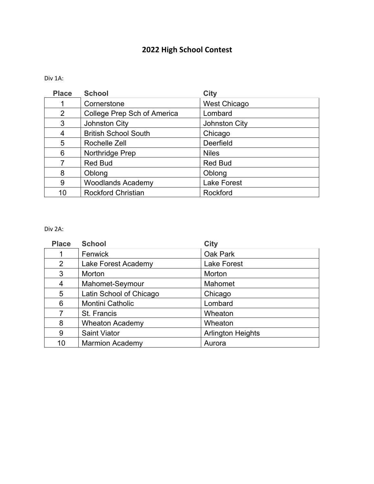# **2022 High School Contest**

### Div 1A:

| <b>Place</b> | <b>School</b>               | <b>City</b>         |
|--------------|-----------------------------|---------------------|
|              | Cornerstone                 | <b>West Chicago</b> |
| 2            | College Prep Sch of America | Lombard             |
| 3            | Johnston City               | Johnston City       |
| 4            | <b>British School South</b> | Chicago             |
| 5            | Rochelle Zell               | Deerfield           |
| 6            | Northridge Prep             | <b>Niles</b>        |
| 7            | <b>Red Bud</b>              | <b>Red Bud</b>      |
| 8            | Oblong                      | Oblong              |
| 9            | <b>Woodlands Academy</b>    | <b>Lake Forest</b>  |
| 10           | <b>Rockford Christian</b>   | Rockford            |

### Div 2A:

| <b>Place</b> | <b>School</b>           | <b>City</b>              |
|--------------|-------------------------|--------------------------|
|              | Fenwick                 | Oak Park                 |
| 2            | Lake Forest Academy     | <b>Lake Forest</b>       |
| 3            | Morton                  | Morton                   |
| 4            | Mahomet-Seymour         | Mahomet                  |
| 5            | Latin School of Chicago | Chicago                  |
| 6            | Montini Catholic        | Lombard                  |
| 7            | St. Francis             | Wheaton                  |
| 8            | <b>Wheaton Academy</b>  | Wheaton                  |
| 9            | <b>Saint Viator</b>     | <b>Arlington Heights</b> |
| 10           | <b>Marmion Academy</b>  | Aurora                   |